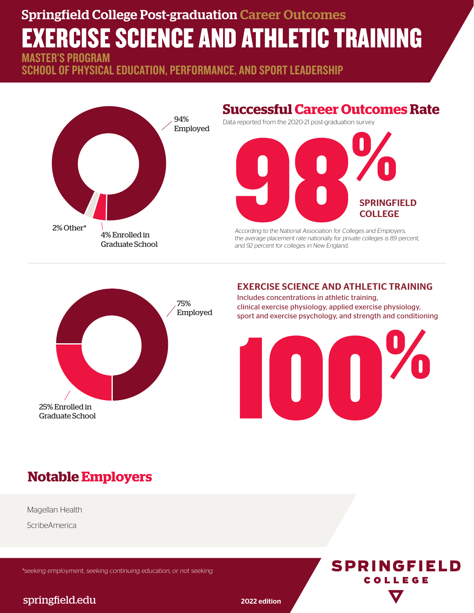## Springfield College Post-graduation Career Outcomes EXERCISE SCIENCE AND ATHLETIC TRAINING STER'S PROGRAM

SCHOOL OF PHYSICAL EDUCATION, PERFORMANCE, AND SPORT LEADERSHIP



### **Successful Career Outcomes Rate**

Data reported from the 2020-21 post-graduation survey



According to the National Association for Colleges and Employers, the average placement rate nationally for private colleges is 89 percent, and 92 percent for colleges in New England.



#### EXERCISE SCIENCE AND ATHLETIC TRAINING

Includes concentrations in athletic training, clinical exercise physiology, applied exercise physiology, sport and exercise psychology, and strength and conditioning



**SPRINGFIELD** COLLEGE

## **Notable Employers**

Magellan Health

**ScribeAmerica** 

\*seeking employment, seeking continuing education, or not seeking